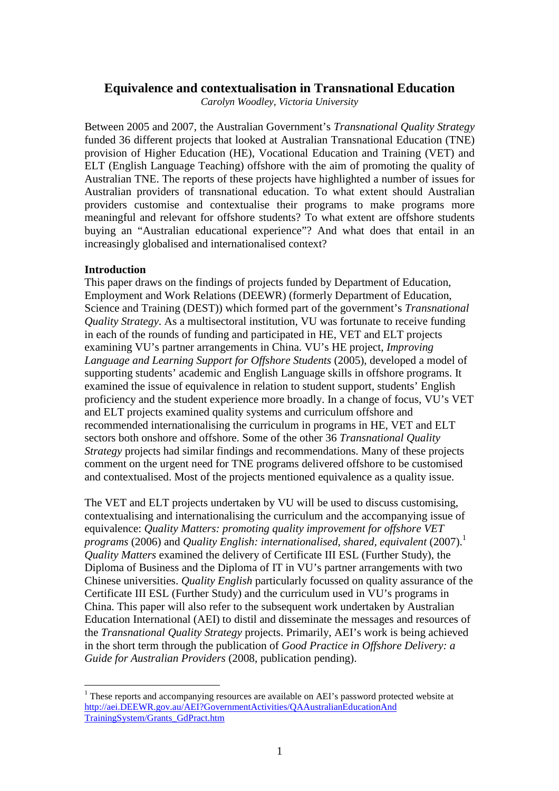## **Equivalence and contextualisation in Transnational Education**

*Carolyn Woodley, Victoria University* 

Between 2005 and 2007, the Australian Government's *Transnational Quality Strategy* funded 36 different projects that looked at Australian Transnational Education (TNE) provision of Higher Education (HE), Vocational Education and Training (VET) and ELT (English Language Teaching) offshore with the aim of promoting the quality of Australian TNE. The reports of these projects have highlighted a number of issues for Australian providers of transnational education. To what extent should Australian providers customise and contextualise their programs to make programs more meaningful and relevant for offshore students? To what extent are offshore students buying an "Australian educational experience"? And what does that entail in an increasingly globalised and internationalised context?

### **Introduction**

 $\overline{a}$ 

This paper draws on the findings of projects funded by Department of Education, Employment and Work Relations (DEEWR) (formerly Department of Education, Science and Training (DEST)) which formed part of the government's *Transnational Quality Strategy*. As a multisectoral institution, VU was fortunate to receive funding in each of the rounds of funding and participated in HE, VET and ELT projects examining VU's partner arrangements in China. VU's HE project, *Improving Language and Learning Support for Offshore Students* (2005), developed a model of supporting students' academic and English Language skills in offshore programs. It examined the issue of equivalence in relation to student support, students' English proficiency and the student experience more broadly. In a change of focus, VU's VET and ELT projects examined quality systems and curriculum offshore and recommended internationalising the curriculum in programs in HE, VET and ELT sectors both onshore and offshore. Some of the other 36 *Transnational Quality Strategy* projects had similar findings and recommendations. Many of these projects comment on the urgent need for TNE programs delivered offshore to be customised and contextualised. Most of the projects mentioned equivalence as a quality issue.

The VET and ELT projects undertaken by VU will be used to discuss customising, contextualising and internationalising the curriculum and the accompanying issue of equivalence: *Quality Matters: promoting quality improvement for offshore VET programs* (2006) and *Quality English: internationalised, shared, equivalent* (2007).<sup>1</sup> *Quality Matters* examined the delivery of Certificate III ESL (Further Study), the Diploma of Business and the Diploma of IT in VU's partner arrangements with two Chinese universities. *Quality English* particularly focussed on quality assurance of the Certificate III ESL (Further Study) and the curriculum used in VU's programs in China. This paper will also refer to the subsequent work undertaken by Australian Education International (AEI) to distil and disseminate the messages and resources of the *Transnational Quality Strategy* projects. Primarily, AEI's work is being achieved in the short term through the publication of *Good Practice in Offshore Delivery: a Guide for Australian Providers* (2008, publication pending).

 $1$  These reports and accompanying resources are available on AEI's password protected website at http://aei.DEEWR.gov.au/AEI?GovernmentActivities/QAAustralianEducationAnd TrainingSystem/Grants\_GdPract.htm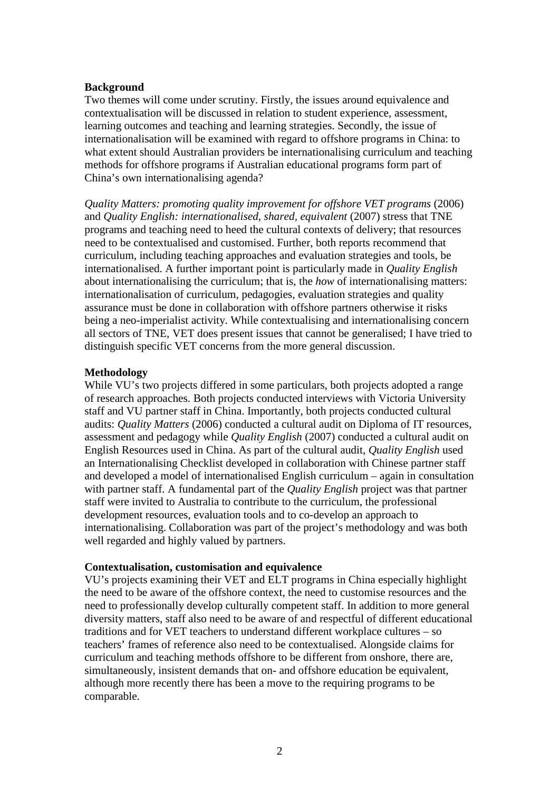#### **Background**

Two themes will come under scrutiny. Firstly, the issues around equivalence and contextualisation will be discussed in relation to student experience, assessment, learning outcomes and teaching and learning strategies. Secondly, the issue of internationalisation will be examined with regard to offshore programs in China: to what extent should Australian providers be internationalising curriculum and teaching methods for offshore programs if Australian educational programs form part of China's own internationalising agenda?

*Quality Matters: promoting quality improvement for offshore VET programs* (2006) and *Quality English: internationalised, shared, equivalent* (2007) stress that TNE programs and teaching need to heed the cultural contexts of delivery; that resources need to be contextualised and customised. Further, both reports recommend that curriculum, including teaching approaches and evaluation strategies and tools, be internationalised. A further important point is particularly made in *Quality English* about internationalising the curriculum; that is, the *how* of internationalising matters: internationalisation of curriculum, pedagogies, evaluation strategies and quality assurance must be done in collaboration with offshore partners otherwise it risks being a neo-imperialist activity. While contextualising and internationalising concern all sectors of TNE, VET does present issues that cannot be generalised; I have tried to distinguish specific VET concerns from the more general discussion.

#### **Methodology**

While VU's two projects differed in some particulars, both projects adopted a range of research approaches. Both projects conducted interviews with Victoria University staff and VU partner staff in China. Importantly, both projects conducted cultural audits: *Quality Matters* (2006) conducted a cultural audit on Diploma of IT resources, assessment and pedagogy while *Quality English* (2007) conducted a cultural audit on English Resources used in China. As part of the cultural audit, *Quality English* used an Internationalising Checklist developed in collaboration with Chinese partner staff and developed a model of internationalised English curriculum – again in consultation with partner staff. A fundamental part of the *Quality English* project was that partner staff were invited to Australia to contribute to the curriculum, the professional development resources, evaluation tools and to co-develop an approach to internationalising. Collaboration was part of the project's methodology and was both well regarded and highly valued by partners.

### **Contextualisation, customisation and equivalence**

VU's projects examining their VET and ELT programs in China especially highlight the need to be aware of the offshore context, the need to customise resources and the need to professionally develop culturally competent staff. In addition to more general diversity matters, staff also need to be aware of and respectful of different educational traditions and for VET teachers to understand different workplace cultures – so teachers' frames of reference also need to be contextualised. Alongside claims for curriculum and teaching methods offshore to be different from onshore, there are, simultaneously, insistent demands that on- and offshore education be equivalent, although more recently there has been a move to the requiring programs to be comparable.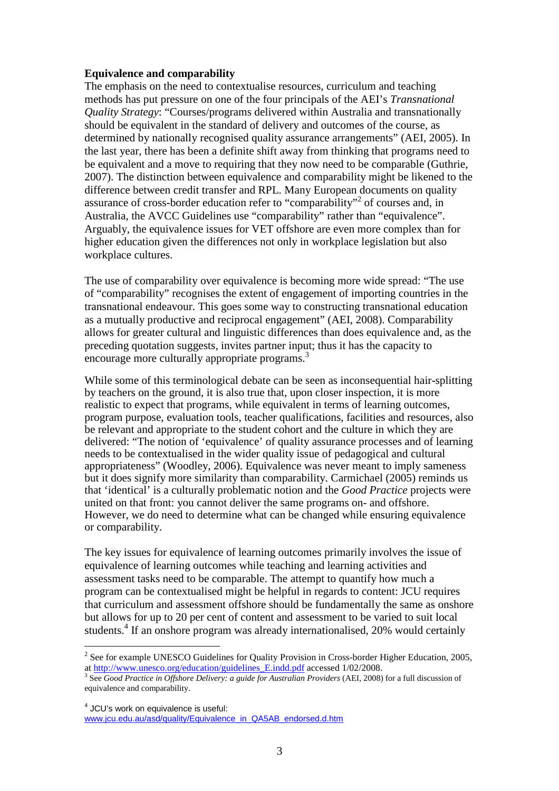### **Equivalence and comparability**

The emphasis on the need to contextualise resources, curriculum and teaching methods has put pressure on one of the four principals of the AEI's *Transnational Quality Strategy*: "Courses/programs delivered within Australia and transnationally should be equivalent in the standard of delivery and outcomes of the course, as determined by nationally recognised quality assurance arrangements" (AEI, 2005). In the last year, there has been a definite shift away from thinking that programs need to be equivalent and a move to requiring that they now need to be comparable (Guthrie, 2007). The distinction between equivalence and comparability might be likened to the difference between credit transfer and RPL. Many European documents on quality assurance of cross-border education refer to "comparability"<sup>2</sup> of courses and, in Australia, the AVCC Guidelines use "comparability" rather than "equivalence". Arguably, the equivalence issues for VET offshore are even more complex than for higher education given the differences not only in workplace legislation but also workplace cultures.

The use of comparability over equivalence is becoming more wide spread: "The use of "comparability" recognises the extent of engagement of importing countries in the transnational endeavour. This goes some way to constructing transnational education as a mutually productive and reciprocal engagement" (AEI, 2008). Comparability allows for greater cultural and linguistic differences than does equivalence and, as the preceding quotation suggests, invites partner input; thus it has the capacity to encourage more culturally appropriate programs.<sup>3</sup>

While some of this terminological debate can be seen as inconsequential hair-splitting by teachers on the ground, it is also true that, upon closer inspection, it is more realistic to expect that programs, while equivalent in terms of learning outcomes, program purpose, evaluation tools, teacher qualifications, facilities and resources, also be relevant and appropriate to the student cohort and the culture in which they are delivered: "The notion of 'equivalence' of quality assurance processes and of learning needs to be contextualised in the wider quality issue of pedagogical and cultural appropriateness" (Woodley, 2006). Equivalence was never meant to imply sameness but it does signify more similarity than comparability. Carmichael (2005) reminds us that 'identical' is a culturally problematic notion and the *Good Practice* projects were united on that front: you cannot deliver the same programs on- and offshore. However, we do need to determine what can be changed while ensuring equivalence or comparability.

The key issues for equivalence of learning outcomes primarily involves the issue of equivalence of learning outcomes while teaching and learning activities and assessment tasks need to be comparable. The attempt to quantify how much a program can be contextualised might be helpful in regards to content: JCU requires that curriculum and assessment offshore should be fundamentally the same as onshore but allows for up to 20 per cent of content and assessment to be varied to suit local students.<sup>4</sup> If an onshore program was already internationalised, 20% would certainly

 $\overline{a}$ 

 $2^2$  See for example UNESCO Guidelines for Quality Provision in Cross-border Higher Education, 2005, at http://www.unesco.org/education/guidelines\_E.indd.pdf accessed 1/02/2008.

<sup>3</sup> See *Good Practice in Offshore Delivery: a guide for Australian Providers* (AEI, 2008) for a full discussion of equivalence and comparability.

<sup>&</sup>lt;sup>4</sup> JCU's work on equivalence is useful: www.jcu.edu.au/asd/quality/Equivalence\_in\_QA5AB\_endorsed.d.htm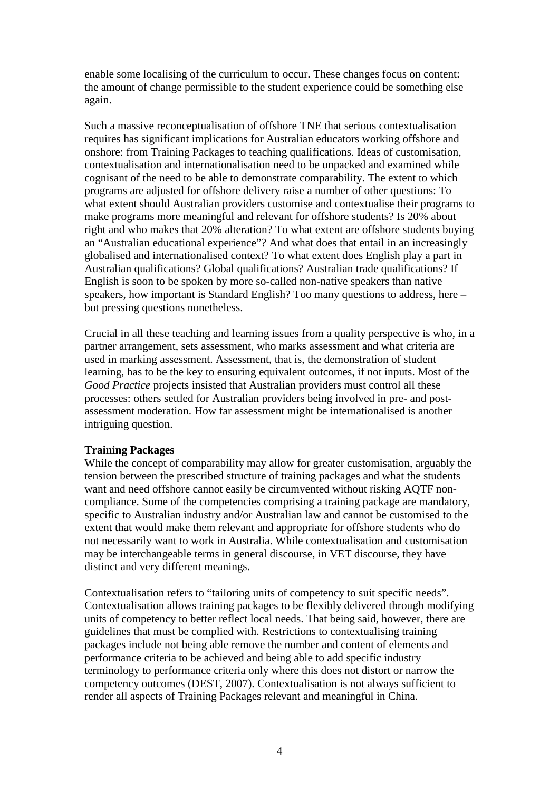enable some localising of the curriculum to occur. These changes focus on content: the amount of change permissible to the student experience could be something else again.

Such a massive reconceptualisation of offshore TNE that serious contextualisation requires has significant implications for Australian educators working offshore and onshore: from Training Packages to teaching qualifications. Ideas of customisation, contextualisation and internationalisation need to be unpacked and examined while cognisant of the need to be able to demonstrate comparability. The extent to which programs are adjusted for offshore delivery raise a number of other questions: To what extent should Australian providers customise and contextualise their programs to make programs more meaningful and relevant for offshore students? Is 20% about right and who makes that 20% alteration? To what extent are offshore students buying an "Australian educational experience"? And what does that entail in an increasingly globalised and internationalised context? To what extent does English play a part in Australian qualifications? Global qualifications? Australian trade qualifications? If English is soon to be spoken by more so-called non-native speakers than native speakers, how important is Standard English? Too many questions to address, here – but pressing questions nonetheless.

Crucial in all these teaching and learning issues from a quality perspective is who, in a partner arrangement, sets assessment, who marks assessment and what criteria are used in marking assessment. Assessment, that is, the demonstration of student learning, has to be the key to ensuring equivalent outcomes, if not inputs. Most of the *Good Practice* projects insisted that Australian providers must control all these processes: others settled for Australian providers being involved in pre- and postassessment moderation. How far assessment might be internationalised is another intriguing question.

### **Training Packages**

While the concept of comparability may allow for greater customisation, arguably the tension between the prescribed structure of training packages and what the students want and need offshore cannot easily be circumvented without risking AQTF noncompliance. Some of the competencies comprising a training package are mandatory, specific to Australian industry and/or Australian law and cannot be customised to the extent that would make them relevant and appropriate for offshore students who do not necessarily want to work in Australia. While contextualisation and customisation may be interchangeable terms in general discourse, in VET discourse, they have distinct and very different meanings.

Contextualisation refers to "tailoring units of competency to suit specific needs". Contextualisation allows training packages to be flexibly delivered through modifying units of competency to better reflect local needs. That being said, however, there are guidelines that must be complied with. Restrictions to contextualising training packages include not being able remove the number and content of elements and performance criteria to be achieved and being able to add specific industry terminology to performance criteria only where this does not distort or narrow the competency outcomes (DEST, 2007). Contextualisation is not always sufficient to render all aspects of Training Packages relevant and meaningful in China.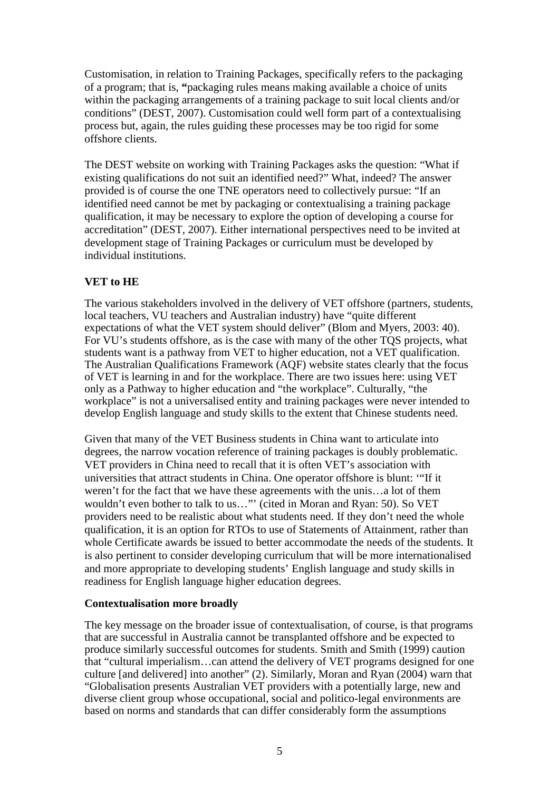Customisation, in relation to Training Packages, specifically refers to the packaging of a program; that is, **"**packaging rules means making available a choice of units within the packaging arrangements of a training package to suit local clients and/or conditions" (DEST, 2007). Customisation could well form part of a contextualising process but, again, the rules guiding these processes may be too rigid for some offshore clients.

The DEST website on working with Training Packages asks the question: "What if existing qualifications do not suit an identified need?" What, indeed? The answer provided is of course the one TNE operators need to collectively pursue: "If an identified need cannot be met by packaging or contextualising a training package qualification, it may be necessary to explore the option of developing a course for accreditation" (DEST, 2007). Either international perspectives need to be invited at development stage of Training Packages or curriculum must be developed by individual institutions.

# **VET to HE**

The various stakeholders involved in the delivery of VET offshore (partners, students, local teachers, VU teachers and Australian industry) have "quite different expectations of what the VET system should deliver" (Blom and Myers, 2003: 40). For VU's students offshore, as is the case with many of the other TQS projects, what students want is a pathway from VET to higher education, not a VET qualification. The Australian Qualifications Framework (AQF) website states clearly that the focus of VET is learning in and for the workplace. There are two issues here: using VET only as a Pathway to higher education and "the workplace". Culturally, "the workplace" is not a universalised entity and training packages were never intended to develop English language and study skills to the extent that Chinese students need.

Given that many of the VET Business students in China want to articulate into degrees, the narrow vocation reference of training packages is doubly problematic. VET providers in China need to recall that it is often VET's association with universities that attract students in China. One operator offshore is blunt: '"If it weren't for the fact that we have these agreements with the unis…a lot of them wouldn't even bother to talk to us…"' (cited in Moran and Ryan: 50). So VET providers need to be realistic about what students need. If they don't need the whole qualification, it is an option for RTOs to use of Statements of Attainment, rather than whole Certificate awards be issued to better accommodate the needs of the students. It is also pertinent to consider developing curriculum that will be more internationalised and more appropriate to developing students' English language and study skills in readiness for English language higher education degrees.

# **Contextualisation more broadly**

The key message on the broader issue of contextualisation, of course, is that programs that are successful in Australia cannot be transplanted offshore and be expected to produce similarly successful outcomes for students. Smith and Smith (1999) caution that "cultural imperialism…can attend the delivery of VET programs designed for one culture [and delivered] into another" (2). Similarly, Moran and Ryan (2004) warn that "Globalisation presents Australian VET providers with a potentially large, new and diverse client group whose occupational, social and politico-legal environments are based on norms and standards that can differ considerably form the assumptions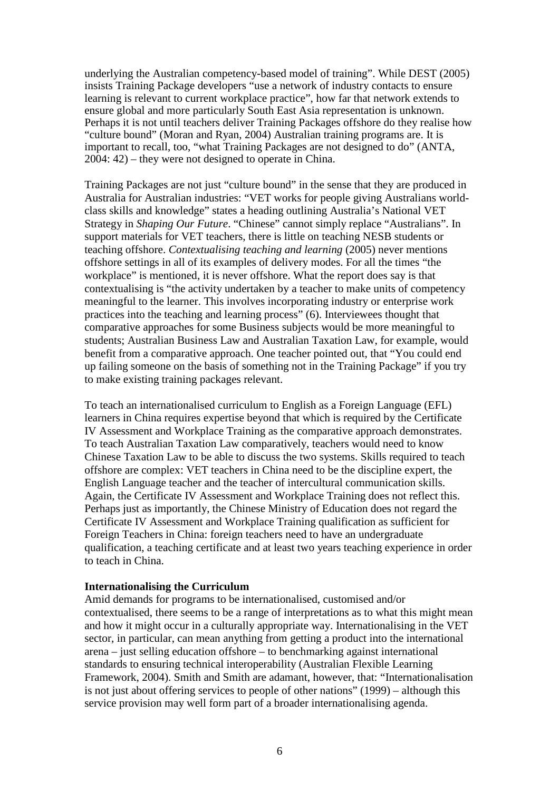underlying the Australian competency-based model of training". While DEST (2005) insists Training Package developers "use a network of industry contacts to ensure learning is relevant to current workplace practice", how far that network extends to ensure global and more particularly South East Asia representation is unknown. Perhaps it is not until teachers deliver Training Packages offshore do they realise how "culture bound" (Moran and Ryan, 2004) Australian training programs are. It is important to recall, too, "what Training Packages are not designed to do" (ANTA, 2004: 42) – they were not designed to operate in China.

Training Packages are not just "culture bound" in the sense that they are produced in Australia for Australian industries: "VET works for people giving Australians worldclass skills and knowledge" states a heading outlining Australia's National VET Strategy in *Shaping Our Future*. "Chinese" cannot simply replace "Australians". In support materials for VET teachers, there is little on teaching NESB students or teaching offshore. *Contextualising teaching and learning* (2005) never mentions offshore settings in all of its examples of delivery modes. For all the times "the workplace" is mentioned, it is never offshore. What the report does say is that contextualising is "the activity undertaken by a teacher to make units of competency meaningful to the learner. This involves incorporating industry or enterprise work practices into the teaching and learning process" (6). Interviewees thought that comparative approaches for some Business subjects would be more meaningful to students; Australian Business Law and Australian Taxation Law, for example, would benefit from a comparative approach. One teacher pointed out, that "You could end up failing someone on the basis of something not in the Training Package" if you try to make existing training packages relevant.

To teach an internationalised curriculum to English as a Foreign Language (EFL) learners in China requires expertise beyond that which is required by the Certificate IV Assessment and Workplace Training as the comparative approach demonstrates. To teach Australian Taxation Law comparatively, teachers would need to know Chinese Taxation Law to be able to discuss the two systems. Skills required to teach offshore are complex: VET teachers in China need to be the discipline expert, the English Language teacher and the teacher of intercultural communication skills. Again, the Certificate IV Assessment and Workplace Training does not reflect this. Perhaps just as importantly, the Chinese Ministry of Education does not regard the Certificate IV Assessment and Workplace Training qualification as sufficient for Foreign Teachers in China: foreign teachers need to have an undergraduate qualification, a teaching certificate and at least two years teaching experience in order to teach in China.

#### **Internationalising the Curriculum**

Amid demands for programs to be internationalised, customised and/or contextualised, there seems to be a range of interpretations as to what this might mean and how it might occur in a culturally appropriate way. Internationalising in the VET sector, in particular, can mean anything from getting a product into the international arena – just selling education offshore – to benchmarking against international standards to ensuring technical interoperability (Australian Flexible Learning Framework, 2004). Smith and Smith are adamant, however, that: "Internationalisation is not just about offering services to people of other nations" (1999) – although this service provision may well form part of a broader internationalising agenda.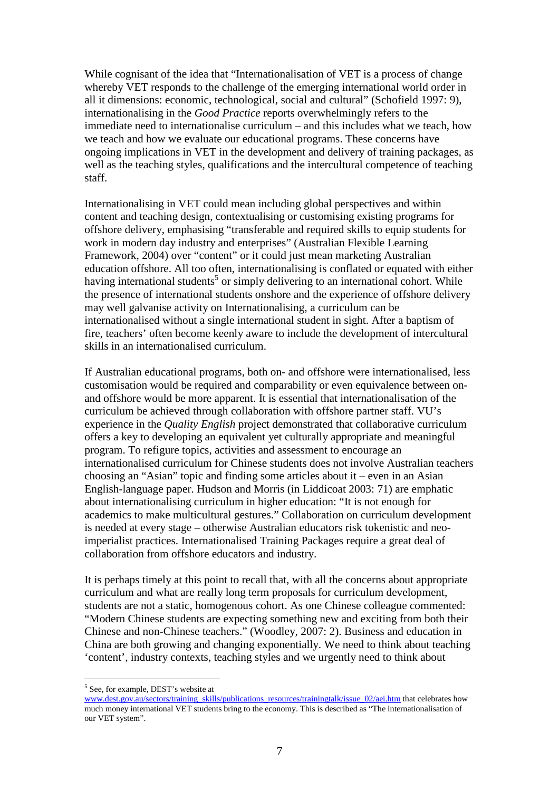While cognisant of the idea that "Internationalisation of VET is a process of change whereby VET responds to the challenge of the emerging international world order in all it dimensions: economic, technological, social and cultural" (Schofield 1997: 9), internationalising in the *Good Practice* reports overwhelmingly refers to the immediate need to internationalise curriculum – and this includes what we teach, how we teach and how we evaluate our educational programs. These concerns have ongoing implications in VET in the development and delivery of training packages, as well as the teaching styles, qualifications and the intercultural competence of teaching staff.

Internationalising in VET could mean including global perspectives and within content and teaching design, contextualising or customising existing programs for offshore delivery, emphasising "transferable and required skills to equip students for work in modern day industry and enterprises" (Australian Flexible Learning Framework, 2004) over "content" or it could just mean marketing Australian education offshore. All too often, internationalising is conflated or equated with either having international students<sup>5</sup> or simply delivering to an international cohort. While the presence of international students onshore and the experience of offshore delivery may well galvanise activity on Internationalising, a curriculum can be internationalised without a single international student in sight. After a baptism of fire, teachers' often become keenly aware to include the development of intercultural skills in an internationalised curriculum.

If Australian educational programs, both on- and offshore were internationalised, less customisation would be required and comparability or even equivalence between onand offshore would be more apparent. It is essential that internationalisation of the curriculum be achieved through collaboration with offshore partner staff. VU's experience in the *Quality English* project demonstrated that collaborative curriculum offers a key to developing an equivalent yet culturally appropriate and meaningful program. To refigure topics, activities and assessment to encourage an internationalised curriculum for Chinese students does not involve Australian teachers choosing an "Asian" topic and finding some articles about it – even in an Asian English-language paper. Hudson and Morris (in Liddicoat 2003: 71) are emphatic about internationalising curriculum in higher education: "It is not enough for academics to make multicultural gestures." Collaboration on curriculum development is needed at every stage – otherwise Australian educators risk tokenistic and neoimperialist practices. Internationalised Training Packages require a great deal of collaboration from offshore educators and industry.

It is perhaps timely at this point to recall that, with all the concerns about appropriate curriculum and what are really long term proposals for curriculum development, students are not a static, homogenous cohort. As one Chinese colleague commented: "Modern Chinese students are expecting something new and exciting from both their Chinese and non-Chinese teachers." (Woodley, 2007: 2). Business and education in China are both growing and changing exponentially. We need to think about teaching 'content', industry contexts, teaching styles and we urgently need to think about

 $\overline{a}$ 

<sup>&</sup>lt;sup>5</sup> See, for example, DEST's website at

www.dest.gov.au/sectors/training\_skills/publications\_resources/trainingtalk/issue\_02/aei.htm that celebrates how much money international VET students bring to the economy. This is described as "The internationalisation of our VET system".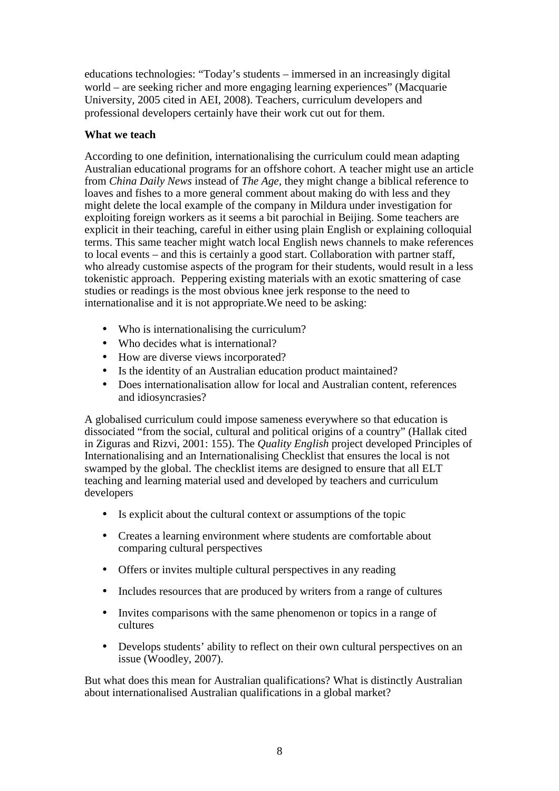educations technologies: "Today's students – immersed in an increasingly digital world – are seeking richer and more engaging learning experiences" (Macquarie University, 2005 cited in AEI, 2008). Teachers, curriculum developers and professional developers certainly have their work cut out for them.

## **What we teach**

According to one definition, internationalising the curriculum could mean adapting Australian educational programs for an offshore cohort. A teacher might use an article from *China Daily News* instead of *The Age,* they might change a biblical reference to loaves and fishes to a more general comment about making do with less and they might delete the local example of the company in Mildura under investigation for exploiting foreign workers as it seems a bit parochial in Beijing. Some teachers are explicit in their teaching, careful in either using plain English or explaining colloquial terms. This same teacher might watch local English news channels to make references to local events – and this is certainly a good start. Collaboration with partner staff, who already customise aspects of the program for their students, would result in a less tokenistic approach. Peppering existing materials with an exotic smattering of case studies or readings is the most obvious knee jerk response to the need to internationalise and it is not appropriate.We need to be asking:

- Who is internationalising the curriculum?
- Who decides what is international?
- How are diverse views incorporated?
- Is the identity of an Australian education product maintained?
- Does internationalisation allow for local and Australian content, references and idiosyncrasies?

A globalised curriculum could impose sameness everywhere so that education is dissociated "from the social, cultural and political origins of a country" (Hallak cited in Ziguras and Rizvi, 2001: 155). The *Quality English* project developed Principles of Internationalising and an Internationalising Checklist that ensures the local is not swamped by the global. The checklist items are designed to ensure that all ELT teaching and learning material used and developed by teachers and curriculum developers

- Is explicit about the cultural context or assumptions of the topic
- Creates a learning environment where students are comfortable about comparing cultural perspectives
- Offers or invites multiple cultural perspectives in any reading
- Includes resources that are produced by writers from a range of cultures
- Invites comparisons with the same phenomenon or topics in a range of cultures
- Develops students' ability to reflect on their own cultural perspectives on an issue (Woodley, 2007).

But what does this mean for Australian qualifications? What is distinctly Australian about internationalised Australian qualifications in a global market?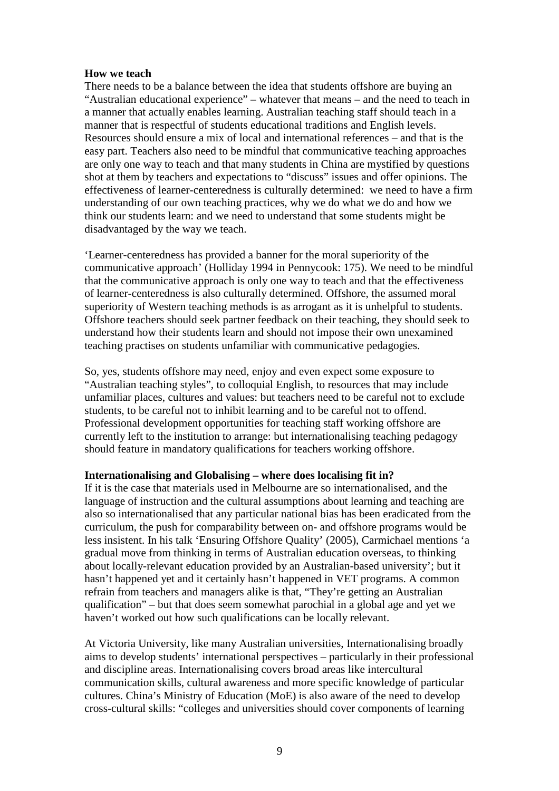#### **How we teach**

There needs to be a balance between the idea that students offshore are buying an "Australian educational experience" – whatever that means – and the need to teach in a manner that actually enables learning. Australian teaching staff should teach in a manner that is respectful of students educational traditions and English levels. Resources should ensure a mix of local and international references – and that is the easy part. Teachers also need to be mindful that communicative teaching approaches are only one way to teach and that many students in China are mystified by questions shot at them by teachers and expectations to "discuss" issues and offer opinions. The effectiveness of learner-centeredness is culturally determined: we need to have a firm understanding of our own teaching practices, why we do what we do and how we think our students learn: and we need to understand that some students might be disadvantaged by the way we teach.

'Learner-centeredness has provided a banner for the moral superiority of the communicative approach' (Holliday 1994 in Pennycook: 175). We need to be mindful that the communicative approach is only one way to teach and that the effectiveness of learner-centeredness is also culturally determined. Offshore, the assumed moral superiority of Western teaching methods is as arrogant as it is unhelpful to students. Offshore teachers should seek partner feedback on their teaching, they should seek to understand how their students learn and should not impose their own unexamined teaching practises on students unfamiliar with communicative pedagogies.

So, yes, students offshore may need, enjoy and even expect some exposure to "Australian teaching styles", to colloquial English, to resources that may include unfamiliar places, cultures and values: but teachers need to be careful not to exclude students, to be careful not to inhibit learning and to be careful not to offend. Professional development opportunities for teaching staff working offshore are currently left to the institution to arrange: but internationalising teaching pedagogy should feature in mandatory qualifications for teachers working offshore.

#### **Internationalising and Globalising – where does localising fit in?**

If it is the case that materials used in Melbourne are so internationalised, and the language of instruction and the cultural assumptions about learning and teaching are also so internationalised that any particular national bias has been eradicated from the curriculum, the push for comparability between on- and offshore programs would be less insistent. In his talk 'Ensuring Offshore Quality' (2005), Carmichael mentions 'a gradual move from thinking in terms of Australian education overseas, to thinking about locally-relevant education provided by an Australian-based university'; but it hasn't happened yet and it certainly hasn't happened in VET programs. A common refrain from teachers and managers alike is that, "They're getting an Australian qualification" – but that does seem somewhat parochial in a global age and yet we haven't worked out how such qualifications can be locally relevant.

At Victoria University, like many Australian universities, Internationalising broadly aims to develop students' international perspectives – particularly in their professional and discipline areas. Internationalising covers broad areas like intercultural communication skills, cultural awareness and more specific knowledge of particular cultures. China's Ministry of Education (MoE) is also aware of the need to develop cross-cultural skills: "colleges and universities should cover components of learning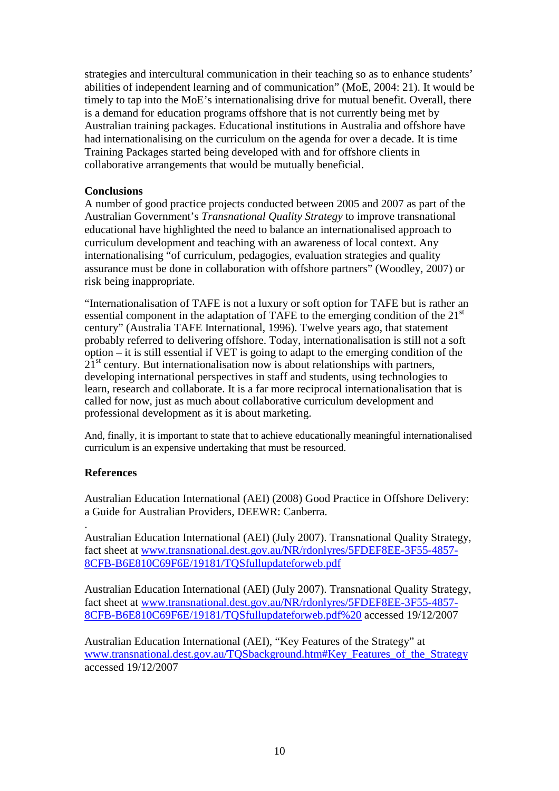strategies and intercultural communication in their teaching so as to enhance students' abilities of independent learning and of communication" (MoE, 2004: 21). It would be timely to tap into the MoE's internationalising drive for mutual benefit. Overall, there is a demand for education programs offshore that is not currently being met by Australian training packages. Educational institutions in Australia and offshore have had internationalising on the curriculum on the agenda for over a decade. It is time Training Packages started being developed with and for offshore clients in collaborative arrangements that would be mutually beneficial.

## **Conclusions**

A number of good practice projects conducted between 2005 and 2007 as part of the Australian Government's *Transnational Quality Strategy* to improve transnational educational have highlighted the need to balance an internationalised approach to curriculum development and teaching with an awareness of local context. Any internationalising "of curriculum, pedagogies, evaluation strategies and quality assurance must be done in collaboration with offshore partners" (Woodley, 2007) or risk being inappropriate.

"Internationalisation of TAFE is not a luxury or soft option for TAFE but is rather an essential component in the adaptation of TAFE to the emerging condition of the  $21<sup>st</sup>$ century" (Australia TAFE International, 1996). Twelve years ago, that statement probably referred to delivering offshore. Today, internationalisation is still not a soft option – it is still essential if VET is going to adapt to the emerging condition of the  $21<sup>st</sup>$  century. But internationalisation now is about relationships with partners, developing international perspectives in staff and students, using technologies to learn, research and collaborate. It is a far more reciprocal internationalisation that is called for now, just as much about collaborative curriculum development and professional development as it is about marketing.

And, finally, it is important to state that to achieve educationally meaningful internationalised curriculum is an expensive undertaking that must be resourced.

# **References**

Australian Education International (AEI) (2008) Good Practice in Offshore Delivery: a Guide for Australian Providers, DEEWR: Canberra.

. Australian Education International (AEI) (July 2007). Transnational Quality Strategy, fact sheet at www.transnational.dest.gov.au/NR/rdonlyres/5FDEF8EE-3F55-4857- 8CFB-B6E810C69F6E/19181/TQSfullupdateforweb.pdf

Australian Education International (AEI) (July 2007). Transnational Quality Strategy, fact sheet at www.transnational.dest.gov.au/NR/rdonlyres/5FDEF8EE-3F55-4857- 8CFB-B6E810C69F6E/19181/TQSfullupdateforweb.pdf%20 accessed 19/12/2007

Australian Education International (AEI), "Key Features of the Strategy" at www.transnational.dest.gov.au/TQSbackground.htm#Key\_Features\_of\_the\_Strategy accessed 19/12/2007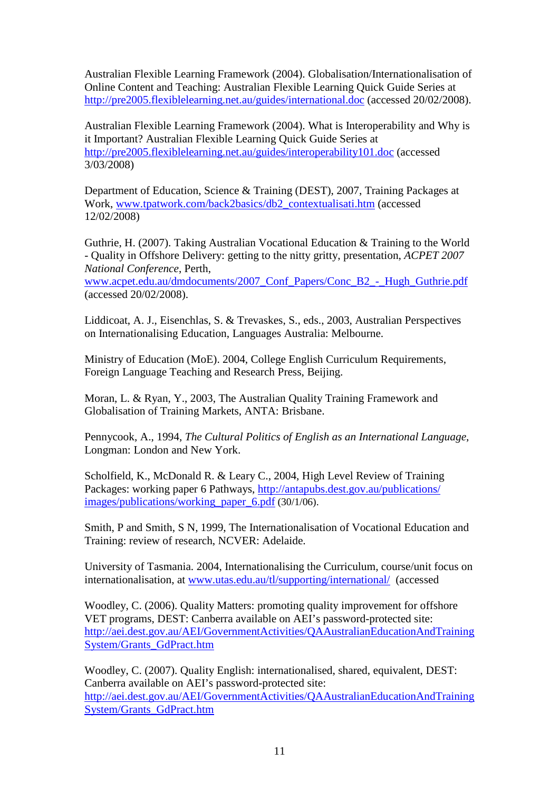Australian Flexible Learning Framework (2004). Globalisation/Internationalisation of Online Content and Teaching: Australian Flexible Learning Quick Guide Series at http://pre2005.flexiblelearning.net.au/guides/international.doc (accessed 20/02/2008).

Australian Flexible Learning Framework (2004). What is Interoperability and Why is it Important? Australian Flexible Learning Quick Guide Series at http://pre2005.flexiblelearning.net.au/guides/interoperability101.doc (accessed 3/03/2008)

Department of Education, Science & Training (DEST), 2007, Training Packages at Work, www.tpatwork.com/back2basics/db2\_contextualisati.htm (accessed 12/02/2008)

Guthrie, H. (2007). Taking Australian Vocational Education & Training to the World - Quality in Offshore Delivery: getting to the nitty gritty, presentation, *ACPET 2007 National Conference*, Perth,

www.acpet.edu.au/dmdocuments/2007\_Conf\_Papers/Conc\_B2\_-\_Hugh\_Guthrie.pdf (accessed 20/02/2008).

Liddicoat, A. J., Eisenchlas, S. & Trevaskes, S., eds., 2003, Australian Perspectives on Internationalising Education, Languages Australia: Melbourne.

Ministry of Education (MoE). 2004, College English Curriculum Requirements, Foreign Language Teaching and Research Press, Beijing.

Moran, L. & Ryan, Y., 2003, The Australian Quality Training Framework and Globalisation of Training Markets, ANTA: Brisbane.

Pennycook, A., 1994, *The Cultural Politics of English as an International Language*, Longman: London and New York.

Scholfield, K., McDonald R. & Leary C., 2004, High Level Review of Training Packages: working paper 6 Pathways, http://antapubs.dest.gov.au/publications/ images/publications/working\_paper\_6.pdf (30/1/06).

Smith, P and Smith, S N, 1999, The Internationalisation of Vocational Education and Training: review of research, NCVER: Adelaide.

University of Tasmania. 2004, Internationalising the Curriculum, course/unit focus on internationalisation, at www.utas.edu.au/tl/supporting/international/ (accessed

Woodley, C. (2006). Quality Matters: promoting quality improvement for offshore VET programs, DEST: Canberra available on AEI's password-protected site: http://aei.dest.gov.au/AEI/GovernmentActivities/QAAustralianEducationAndTraining System/Grants\_GdPract.htm

Woodley, C. (2007). Quality English: internationalised, shared, equivalent, DEST: Canberra available on AEI's password-protected site: http://aei.dest.gov.au/AEI/GovernmentActivities/QAAustralianEducationAndTraining System/Grants\_GdPract.htm